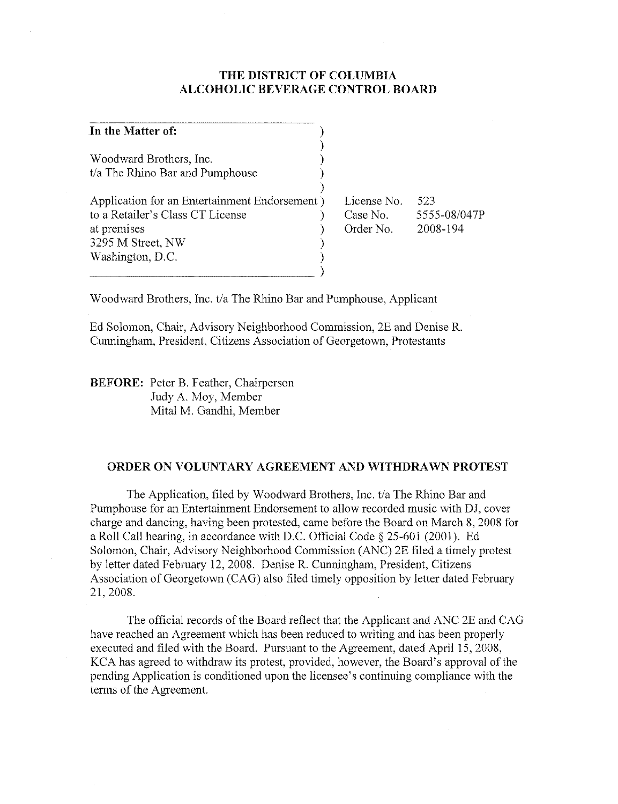#### THE DISTRICT OF COLUMBIA ALCOHOLIC BEVERAGE CONTROL BOARD

| In the Matter of:                             |             |              |
|-----------------------------------------------|-------------|--------------|
|                                               |             |              |
| Woodward Brothers, Inc.                       |             |              |
| t/a The Rhino Bar and Pumphouse               |             |              |
|                                               |             |              |
| Application for an Entertainment Endorsement) | License No. | 523          |
| to a Retailer's Class CT License              | Case No.    | 5555-08/047P |
| at premises                                   | Order No.   | 2008-194     |
| 3295 M Street, NW                             |             |              |
| Washington, D.C.                              |             |              |
|                                               |             |              |

Woodward Brothers, Inc. *t/a* The Rhino Bar and Pumphouse, Applicant

Ed Solomon, Chair, Advisory Neighborhood Commission, 2E and Denise R. Cunningham, President, Citizens Association of Georgetown, Protestants

BEFORE: Peter B. Feather, Chairperson Judy A. Moy, Member Mital M. Gandhi, Member

#### ORDER ON VOLUNTARY AGREEMENT AND WITHDRAWN PROTEST

The Application, filed by Woodward Brothers, Inc. *t/a* The Rhino Bar and Pumphouse for an Entertainment Endorsement to allow recorded music with DJ, cover charge and dancing, having been protested, came before the Board on March 8, 2008 for a Roll Call hearing, in accordance with D.C. Official Code § 25-601 (2001). Ed Solomon, Chair, Advisory Neighborhood Commission (ANC) 2E filed a timely protest by letter dated February 12, 2008. Denise R. Cunningham, President, Citizens Association of Georgetown (CAG) also filed timely opposition by letter dated February 21,2008.

The official records of the Board reflect that the Applicant and ANC 2E and CAG have reached an Agreement which has been reduced to writing and has been properly executed and tiled with the Board. Pursuant to the Agreement, dated April 15,2008, KCA has agreed to withdraw its protest, provided, however, the Board's approval of the pending Application is conditioned upon the licensee's continuing compliance with the terms of the Agreement.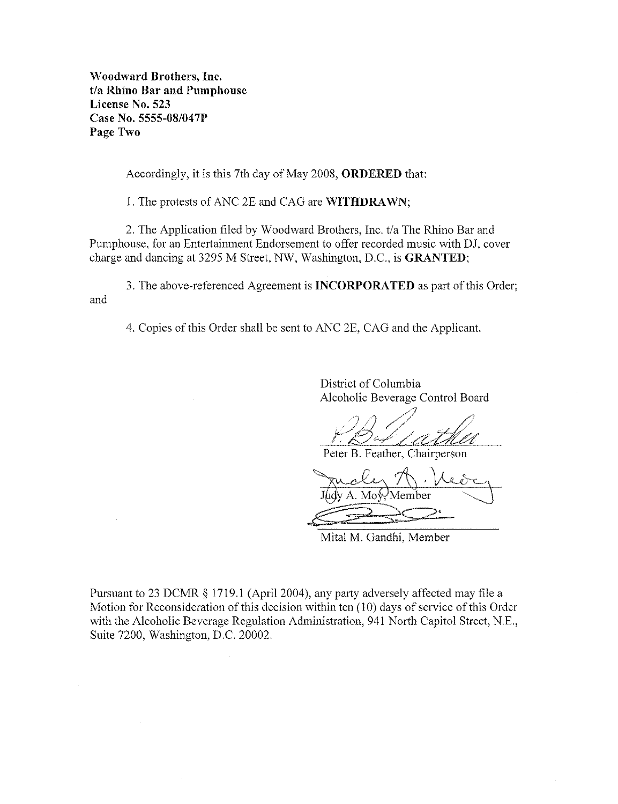Woodward Brothers, Inc.  $t/a$  Rhino Bar and Pumphouse License No. 523 Case No. 5555-08/047P Page Two

Accordingly, it is this 7th day of May 2008, ORDERED that:

I. The protests of ANC 2E and CAG are WITHDRAWN;

2. The Application filed by Woodward Brothers, Inc. t/a The Rhino Bar and Pumphouse, for an Entertainment Endorsement to offer recorded music with DJ, cover charge and dancing at 3295 M Street, NW, Washington, D.C., is GRANTED;

3. The above-referenced Agreement is INCORPORATED as part of this Order; and

4. Copies of this Order shall be sent to ANC 2E, CAG and the Applicant.

District of Columbia Alcoholic Beverage Control Board

Peter B. Feather, Chairperson

y A. Moy-Member

Mital M. Gandhi, Member

Pursuant to 23 DCMR § 1719.1 (April 2004), any party adversely affected may file a Motion for Reconsideration of this decision within ten (10) days of service of this Order with the Alcoholic Beverage Regulation Administration, 941 North Capitol Street, N.E., Suite 7200, Washington, D.C. 20002.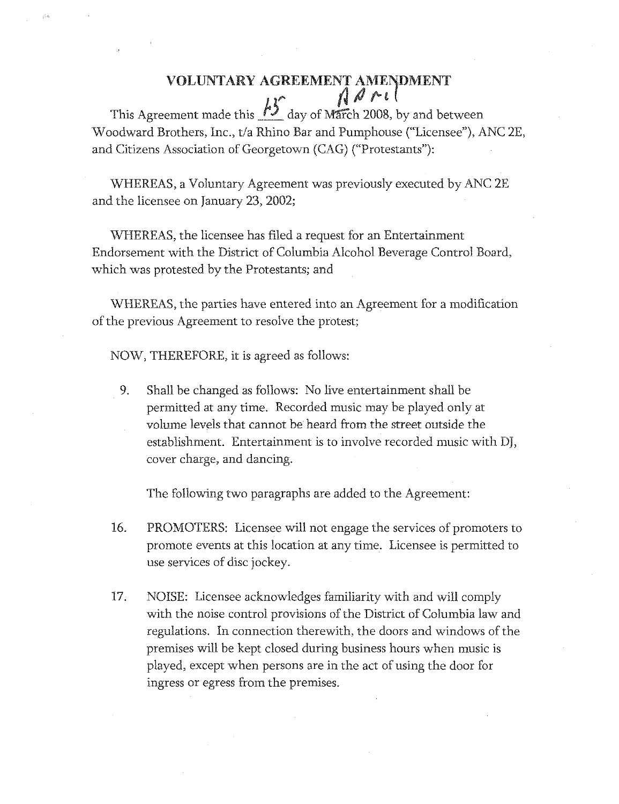## VOLUNTARY AGREEMENT AMENDMENT  $\sim$  ( $\sqrt{d}$ ril)

This Agreement made this  $\frac{13}{2}$  day of March 2008, by and between Woodward Brothers, Inc., *tla* Rhino Bar and Pumphouse ("Licensee"), ANC 2E, and Citizens Association of Georgetown (CAG) ("Protestants"):

WHEREAS, a Voluntary Agreement was previously executed by ANC 2E and the licensee on January 23, 2002;

WHEREAS, the licensee has filed a request for an Entertainment Endorsement with the District of Columbia Alcohol Beverage Control Board, which was protested by the Protestants; and

WHEREAS, the parties have entered into an Agreement for a modification of the previous Agreement to resolve the protest;

NOW, THEREFORE, it is agreed as follows:

9. Shall be changed as follows: No live entertainment shall be permitted at any time. Recorded music may be played only at volume levels that cannot be heard from the street outside the establishment. Entertainment is to involve recorded music with DJ, cover charge, and dancing.

The following two paragraphs are added to the Agreement:

- 16. PROMOTERS: Licensee will not engage the services of promoters to promote events at this location at any time. Licensee is permitted to use services of disc jockey.
- 17. NOISE: Licensee acknowledges familiarity with and will comply with the noise control provisions of the District of Columbia law and regulations. In connection therewith, the doors and windows of the premises will be kept dosed during business hours when music is played, except when persons are in the act of using the door for ingress or egress from the premises.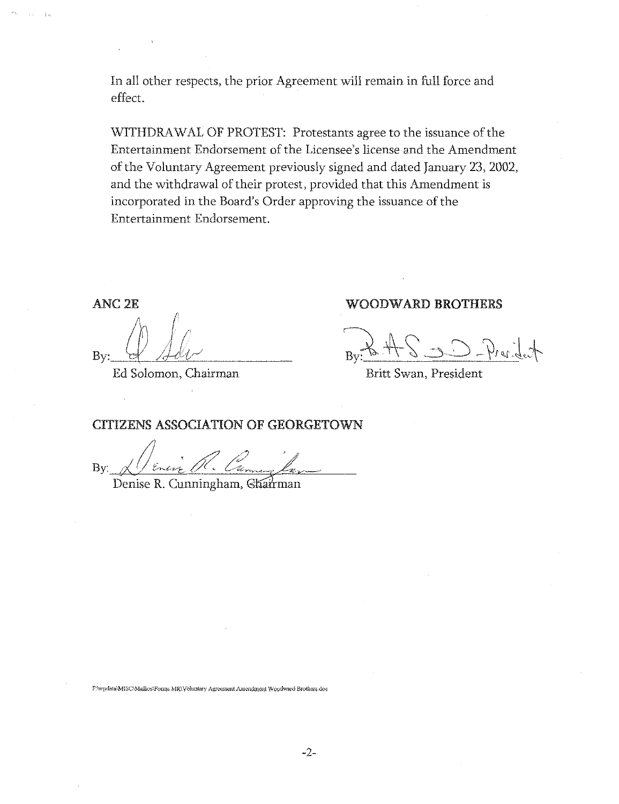In all other respects, the prior Agreement will remain in full force and effect.

WITHDRAWAL OF PROTEST: Protestants agree to the issuance of the Entertainment Endorsement of the Licensee's license and the Amendment of the Voluntary Agreement previously signed and dated January 23, 2002, and the withdrawal of their protest, provided that this Amendment is incorporated in the Board's Order approving the issuance of the Entertainment Endorsement.

ANC2E

By: <u>Q Salv</u>

Ed Solomon, Chairman

#### WOODWARD BROTHERS

 $P_{\text{av}}$  A  $S \rightarrow P_{\text{ref}}$  . Let

Britt Swan, President

CITIZENS ASSOCIATION OF GEORGETOWN

 $Bv: \mathcal{A}$  / Energ .

Denise R. Cunningham, Ghairman

F:\wpdata\MISC\Mallios\Forms MR\Voluntary Agreement Amendment Woodward Brothers.dog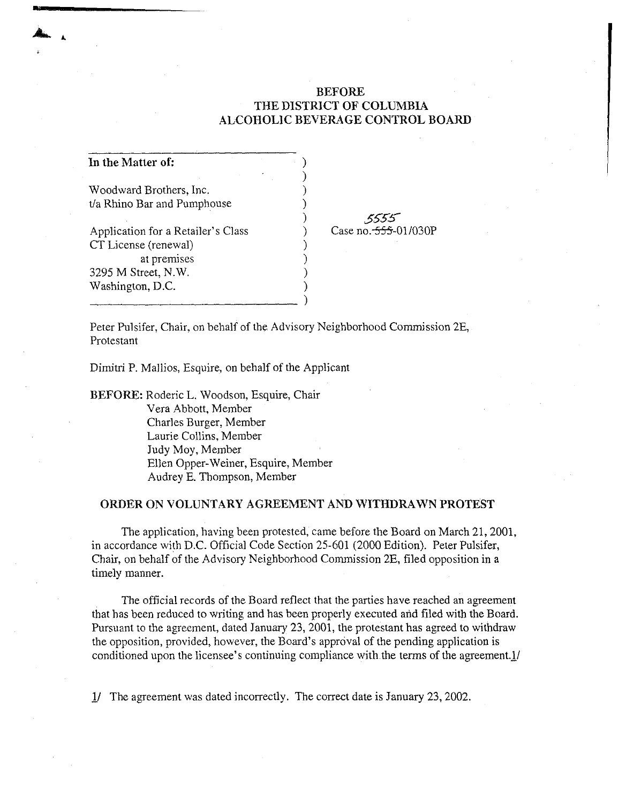#### BEFORE THE DISTRICT OF COLUMBIA ALCOHOLIC BEVERAGE CONTROL BOARD

| In the Matter of:                  |  |
|------------------------------------|--|
| Woodward Brothers, Inc.            |  |
|                                    |  |
| t/a Rhino Bar and Pumphouse        |  |
|                                    |  |
| Application for a Retailer's Class |  |
| CT License (renewal)               |  |
| at premises                        |  |
| 3295 M Street, N.W.                |  |
| Washington, D.C.                   |  |
|                                    |  |

*55'S'S-*Case no.  $-555 - 01/030P$ 

Peter Pulsifer, Chair, on behalf of the Advisory Neighborhood Commission 2E, Protestant

Dimitri P. Mallios, Esquire, on behalf of the Applicant

BEFORE: Roderic L. Woodson, Esquire, Chair Vera Abbott, Member Charles Burger, Member Laurie Collins, Member Judy Moy, Member Ellen Opper-Weiner, Esquire, Member Audrey E. Thompson, Member

#### ORDER ON VOLUNTARY AGREEMENT AND WITHDRAWN PROTEST

The application, having been protested, came before the Board on March 21, 2001, in accordance with D.C. Official Code Section 25-601 (2000 Edition). Peter Pulsifer, Chair, on behalf of the Advisory Neighborhood Commission 2E, filed opposition in a timely manner.

The official records of the Board reflect that the parties have reached an agreement that has been reduced to writing and has been properly executed and filed with the Board. Pursuant to the agreement, dated January 23, 2001, the protestant has agreed to withdraw the opposition, provided, however, the Board's approval of the pending application is conditioned upon the licensee's continuing compliance with the terms of the agreement.1/

11 The agreement was dated incorrectly. The correct date is January 23, 2002.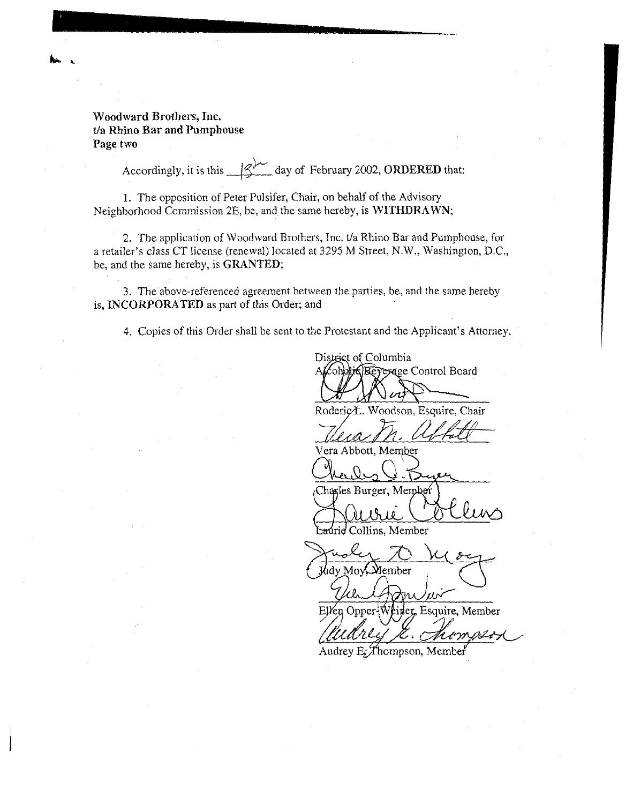### Woodward Brothers, Inc. t/a Rhino Bar and Pumphouse Page two

Accordingly, it is this  $\frac{1}{3}$  day of February 2002, ORDERED that:

1. The opposition of Peter Pulsifer, Chair, on behalf of the Advisory Neighborhood Commission 2E, be. and the same hereby, is WITHDRAWN;

2. The application of Woodward Brothers, Inc. t/a Rhino Bar and Pumphouse, for a retailer's class CT license (renewal) located at 3295 M Street, N.W., Washington, D.C., be, and the same hereby, is GRANTED;

3. The above-referenced agreement between the parties, be, and the same hereby is, INCORPORATED as part of this Order; and

4. Copies of this Order shall be sent to the Protestant and the Applicant's Attorney.

District of Columbia ohotisBeyerage Control Board

Roderic L. Woodson, Esquire, Chair

Vera Abbott, Member

Charles Burger, Member

Laurid Collins, Member

idy Mov. Member

Ellen Opper-Weiner, Esquire, Member

Audrey E Thompson, Member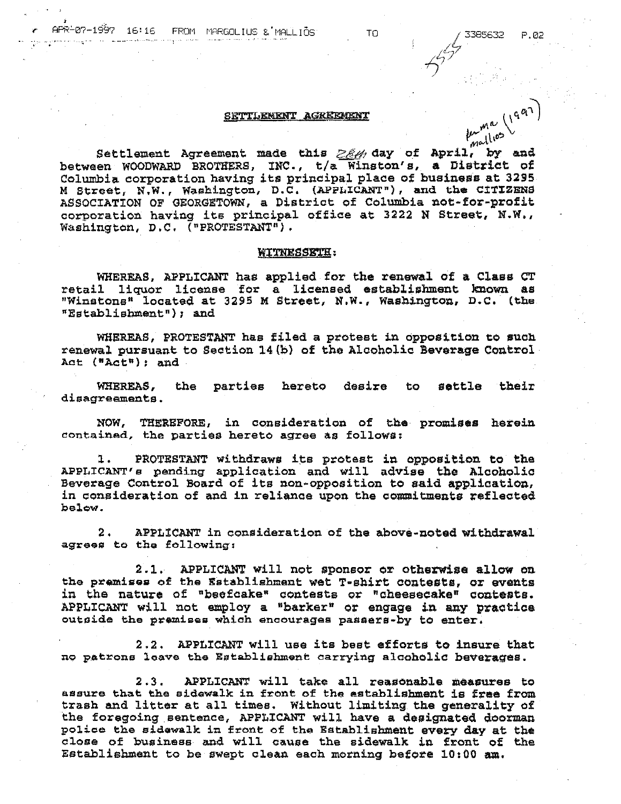57

 $\mu_{\rm rad}$ llios

# SETTLEMENT AGREEMENT  $(1)^{qR}$

Settlement Agreement made this  $\geq \frac{\beta}{4}$  day of April, by and between WOODWARD BROTHERS, INC., *t*/a Winston's, a District of Columbia corporation having its principal place of business at 3295 M Street, N.W., Washington, D.C. (APPLICANT"), and the CITIZENS ASSOCIATION OF GEORGETOWN, a District of Columbia not-for-profit corporation having its principal office at 3222 N Street, N.W., Washington, D.C.  $($  "PROTESTANT" $)$ .

#### WITNESSETH:

WHEREAS, APPLICANT has applied for the renewal of a Class CT retail liquor license for a licensed establishment known as "Winstons" located at 3295 M Street, N.W., Washington, D.C. (the "Establishment"); and

WHEREAS, PROTESTANT has filed a protest in opposition to such renewal pursuant to Section  $14(b)$  of the Alcoholic Beverage Control Act ("Act"): and

WHEREAS, the parties hereto desire to settle their disagreements.

NOW, THEREFORE, in consideration of the promises herein contained, the parties hereto agree as follows;

1. PROTESTANT withdraws its protest in opposition to the APPLICANT's pending application and will advise the Alcoholic Beverage Control Board of its non-opposition to said applioation, in consideration of and in reliance upon the commitments reflected  $b$ elow.

2 • APPLICANT in consideration of the above-noted withdrawal agrees to the following:

2.1. APPLICANT will not sponsor or otherwise allow on the premises of the Establishment wet T-shirt oontests, or events in the nature of "beefcake" contests or "cheesecake" contests. APPLICANT will not employ a "barker" or engage in any practice outside the premises which encourages passers-by to enter.

2.2. APPLICANT will use its best efforts to insure that no patrone loave the Establishment carrying alcoholio beverages.

2.3. APPLICANT will take all reasonable measures to ... assure that the sidewalk in front of the establishment is free from trash and litter at all times. Without limiting the generality of the foregoing sentence, APPLICANT will have a designated doorman police the sidewalk in front of the Establishment every day at the close of business and will cause the sidewalk in front of the Establishment to be swept clean each morning before  $10:00$  am.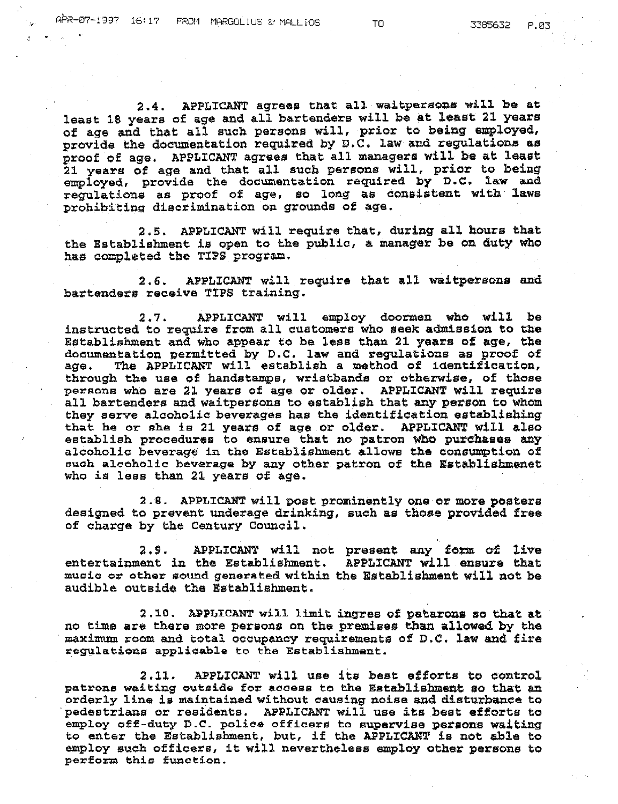2.4. APPLICANT agrees that all waitpersons will be at least 18 years of age and all bartenders will be at least 21 years of age and that all such persons will, prior to being employed, provide the documentation required by D.C. law and regulations as proof of age. APPLICANT agrees that all managers will. be at least 21 years of age and that all such persons will, prior to being  $employd$ , provide the documentation required by  $D.C.$  law and regulations as proof of age, so long as consistent with laws prohibiting discrimination on grounds of age.

2.5. APPLICANT will require that, during all hours that the Establishment is open to the public, a manager be on duty who has completed the TIPS program.

2.6. APPLICANT will require that all waitpersons and bartenders receive TIPS training.

2.7. APPLICANT will employ doormen who will be instructed to require from all customers who seek admission to the Establishment and who appear to be less than 21 years of age, the documentation permitted by D.C. law and regulations as proof of age. The APPLICANT will establish a method of identification. The APPLICANT will establish a method of identification, through the use of handstamps, wristbands or otherwise, of those peraons who are 21 years of age or older. APPLICANT will require persons who are zi years of age of order. Arrittanit with require they serve alcoholic beverages has the identification establishing that he or she ie 21 years of age or older. APPLICANT will also establish procedures to ensure that no patron who purchases any alcoholic beverage in the Establishment allows the consumption of auah alcoholio beverage by any other patron of the Establishmenet who is less than 21 years of age.

2.8. APPLICANT will post prominently one or more posters designed to prevent underage drinking, such as those provided free of charge by the Century Council.

2.9. APPLICANT will not present any form of live entertainment in the Establishment. APPLICANT will ensure that music or other sound generated within the Establishment will not be audible outside the Establishment.

2.10. APPLICANT will limit ingres of patarons so that at no time are there more persons on the premises than allowed by the maximum room and total occupancy requirements of D.C. law and fire regulations applicable to the Establishment.

2.11. APPLICANT will use its best efforts to control patrons waiting outside for access to the Establishment so that an orderly line is maintained without causing noise and disturbance to. pedestrians or residents. APPLICANT will use its best efforts to employ off-duty D.C. police officers to supervise persons waiting to enter the Establishment, but, if the APPLICAN'l' is not able to employ such offioers, it will nevertheless employ other persons to perform this function.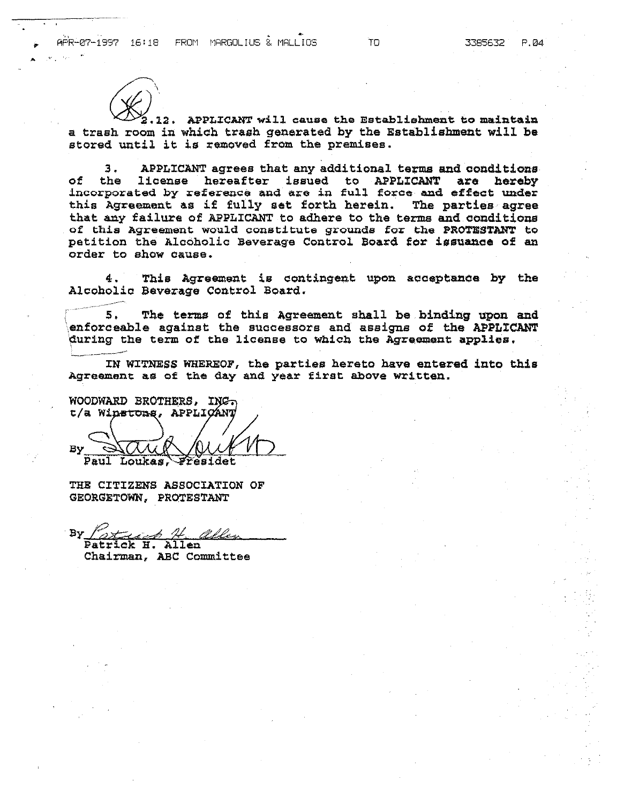

12. APPLICANT will cause the Establishment to maintain a trash room in which trash generated by the Establishment will be stored until it is removed from the premises.

3. APPLICANT agrees that any additional terms and conditions of the license hereafter issued to APPLICANT are hereby incorporated by reference and are in full force and effect under this Agreement as if fully set forth herein. The parties agree that any failure of APPLICANT to adhere to the terms and conditions of this Agreement would constitute grounds for the PROTESTANT to petition the Alcoholic Beverage Control Soard for issuance of an order to show Cause.

4. This Agreement is contingent upon acceptance by the Alcoholic Beverage Control Board.

5. The terms of this Agreement shall be binding upon and enforceable against the successors and assigns of the APPLICANT during the term of the license to which the Agreement applies.

IN WITNESS WHEREOF, the parties hereto have entered into this Agreement as of the day and year first above written.

WOODWARD BROTHERS, ING t/a Winstons, APPLICANT Έy

Paul Loukas,

THE CITIZENS ASSOCIATION OF GEORGETOWN, PROTESTANT

By Patrick H. allen Patrick H. Allen

Chairman, ABC Committee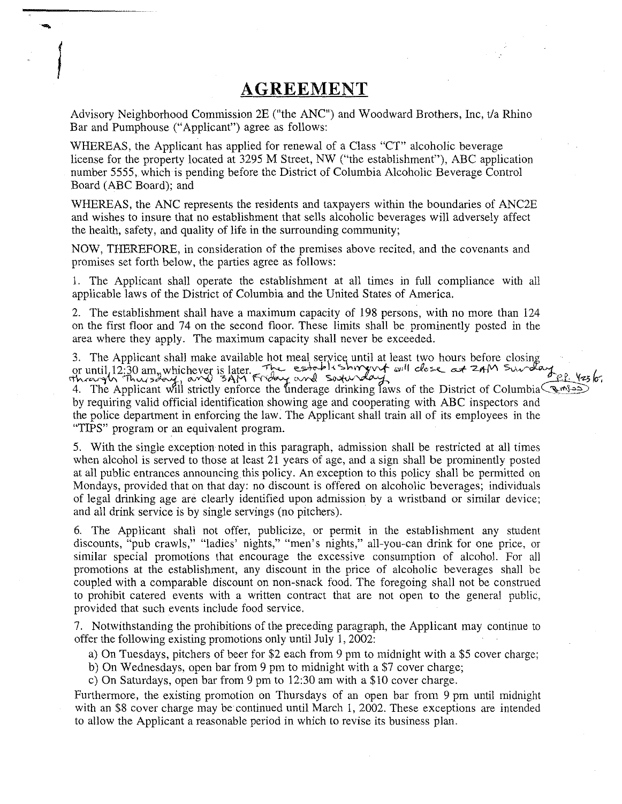## **AGREEMENT**

|<br>|<br>|<br>|

Advisory Neighborhood Commission 2E ("the ANC") and Woodward Brothers, Inc, t/a Rhino Bar and Pumphouse ("Applicant") agree as follows:

WHEREAS, the Applicant has applied for renewal of a Class "CT" alcoholic beverage license for the property located at 3295 M Street, NW ("the establishment"), ABC application number 5555, which is pending before the District of Columbia Alcoholic Beverage Control Board (ABC Board); and

WHEREAS, the ANC represents the residents and taxpayers within the boundaries of ANC2E and wishes to insure that no establishment that sells alcoholic beverages will adversely affect the health, safety, and quality of life in the surrounding community;

NOW, THEREFORE, in consideration of the premises above recited, and the covenants and promises set forth below, the parties agree as follows:

1. The Applicant shall operate the establishment at all times in full compliance with all applicable laws of the District of Columbia and the United States of America.

2. The establishment shall have a maximum capacity of 198 persons, with no more than 124 on the first floor and 74 on the second floor. These limits shall be prominently posted in the area where they apply. The maximum capacity shall never be exceeded.

3. The Applicant shall make available hot meal serv l 3. The Applicant shall make available hot meal service until at least two hours before closing<br>or until 12:30 am, whichever is later. The establishing will close at  $2nM$  Survey and  $2\frac{p!}{q!}$  /23/or

4. The Applicant will strictly enforce the underage drinking laws of the District of Columbia  $\mathcal{L}_{\mathcal{A}}(s)$ by requiring valid official identification showing age and cooperating with ABC inspectors and the police department in enforcing the law. The Applicant shall train all of its employees in the "TIPS" program or an equivalent program.

5. With the single exception noted in this paragraph, admission shall be restricted at all times when alcohol is served to those at least 21 years of age, and a sign shall be prominently posted at all public entrances announcing this policy. An exception to this policy shall be permitted on Mondays, provided that on that day: no discount is offered on alcoholic beverages; individuals of legal drinking age are clearly identified upon admission by a wristband or similar device; and all drink service is by single servings (no pitchers).

6. The Applicant shall not offer, publicize, or permit in the establishment any student discounts, "pub crawls," "ladies' nights," "men's nights," all-you-can drink for one price, or similar special promotions that encourage the excessive consumption of alcohol. For all promotions at the establishment, any discount in the price of alcoholic beverages shall be coupled with a comparable discount on non-snack food. The foregoing shall not be construed to prohibit catered events with a written contract that are not open to the general public, provided that such events include food service.

7. Notwithstanding the prohibitions of the preceding paragraph, the Applicant may continue to offer the following existing promotions only until July 1, 2002:

a) On Tuesdays, pitchers of beer for \$2 each from 9 pm to midnight with a \$5 cover charge;

b) On Wednesdays, open bar from 9 pm to midnight with a \$7 cover charge;

c) On Saturdays, open bar from 9 pm to 12:30 am with a \$10 cover charge.

Furthermore, the existing promotion on Thursdays of an open bar from 9 pm until midnight with an \$8 cover charge may be continued until March 1, 2002. These exceptions are intended to allow the Applicant a reasonable period in which to revise its business plan.